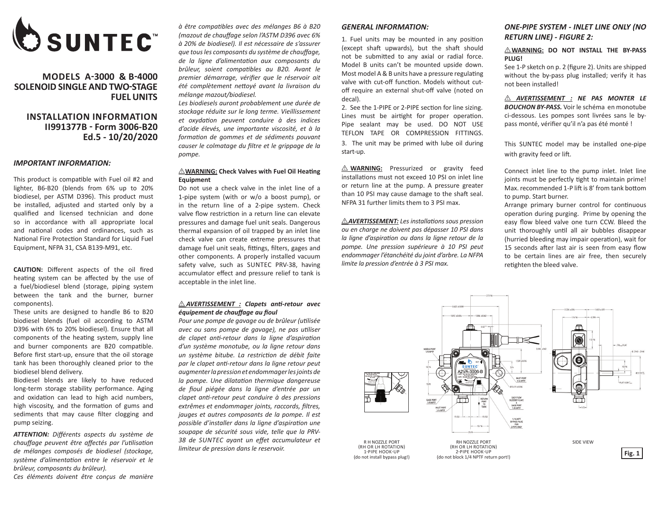

# **MODELS A-3000 & B-4000 SOLENOID SINGLE AND TWO-STAGE FUEL UNITS**

# **INSTALLATION INFORMATION II991377B - Form 3006-B20 Ed.5 - 10/20/2020**

#### *IMPORTANT INFORMATION:*

This product is compatible with Fuel oil #2 and lighter, B6-B20 (blends from 6% up to 20% biodiesel, per ASTM D396). This product must be installed, adjusted and started only by a qualified and licensed technician and done so in accordance with all appropriate local and national codes and ordinances, such as National Fire Protection Standard for Liquid Fuel Equipment, NFPA 31, CSA B139-M91, etc.

**CAUTION:** Different aspects of the oil fired heating system can be affected by the use of a fuel/biodiesel blend (storage, piping system between the tank and the burner, burner components).

These units are designed to handle B6 to B20 biodiesel blends (fuel oil according to ASTM D396 with 6% to 20% biodiesel). Ensure that all components of the heating system, supply line and burner components are B20 compatible. Before first start-up, ensure that the oil storage tank has been thoroughly cleaned prior to the biodiesel blend delivery.

Biodiesel blends are likely to have reduced long-term storage stability performance. Aging and oxidation can lead to high acid numbers, high viscosity, and the formation of gums and sediments that may cause filter clogging and pump seizing.

*ATTENTION: Différents aspects du système de chauffage peuvent être affectés par l'utilisation de mélanges composés de biodiesel (stockage, système d'alimentation entre le réservoir et le brûleur, composants du brûleur).*

*Ces éléments doivent être conçus de manière* 

*à être compatibles avec des mélanges B6 à B20 (mazout de chauffage selon l'ASTM D396 avec 6% à 20% de biodiesel). Il est nécessaire de s'assurer que tous les composants du système de chauffage, de la ligne d'alimentation aux composants du brûleur, soient compatibles au B20. Avant le premier démarrage, vérifier que le réservoir ait été complètement nettoyé avant la livraison du mélange mazout/biodiesel.*

*Les biodiesels auront probablement une durée de stockage réduite sur le long terme. Vieillissement et oxydation peuvent conduire à des indices d'acide élevés, une importante viscosité, et à la formation de gommes et de sédiments pouvant causer le colmatage du filtre et le grippage de la pompe.*

## I **WARNING: Check Valves with Fuel Oil Heating Equipment**

Do not use a check valve in the inlet line of a 1-pipe system (with or w/o a boost pump), or in the return line of a 2-pipe system. Check valve flow restriction in a return line can elevate pressures and damage fuel unit seals. Dangerous thermal expansion of oil trapped by an inlet line check valve can create extreme pressures that damage fuel unit seals, fittings, filters, gages and other components. A properly installed vacuum safety valve, such as SUNTEC PRV-38, having accumulator effect and pressure relief to tank is acceptable in the inlet line.

#### I *AVERTISSEMENT : Clapets anti-retour avec équipement de chauffage au fioul*

*Pour une pompe de gavage ou de brûleur (utilisée avec ou sans pompe de gavage), ne pas utiliser de clapet anti-retour dans la ligne d'aspiration d'un système monotube, ou la ligne retour dans un système bitube. La restriction de débit faite par le clapet anti-retour dans la ligne retour peut augmenter la pression et endommager les joints de la pompe. Une dilatation thermique dangereuse de fioul piégée dans la ligne d'entrée par un clapet anti-retour peut conduire à des pressions extrêmes et endommager joints, raccords, filtres, jauges et autres composants de la pompe. Il est possible d'installer dans la ligne d'aspiration une soupape de sécurité sous vide, telle que la PRV-38 de SUNTEC ayant un effet accumulateur et limiteur de pression dans le reservoir.*

#### *GENERAL INFORMATION:*

1. Fuel units may be mounted in any position (except shaft upwards), but the shaft should not be submitted to any axial or radial force. Model B units can't be mounted upside down. Most model A & B units have a pressure regulating valve with cut-off function. Models without cutoff require an external shut-off valve (noted on decal).

2. See the 1-PIPE or 2-PIPE section for line sizing. Lines must be airtight for proper operation. Pipe sealant may be used. DO NOT USE TEFLON TAPE OR COMPRESSION FITTINGS.

3. The unit may be primed with lube oil during start-up.

 $\triangle$  **WARNING:** Pressurized or gravity feed installations must not exceed 10 PSI on inlet line or return line at the pump. A pressure greater than 10 PSI may cause damage to the shaft seal. NFPA 31 further limits them to 3 PSI max.

 $\triangle$ **AVERTISSEMENT:** Les installations sous pression *ou en charge ne doivent pas dépasser 10 PSI dans la ligne d'aspiration ou dans la ligne retour de la pompe. Une pression supérieure à 10 PSI peut endommager l'étanchéité du joint d'arbre. La NFPA limite la pression d'entrée à 3 PSI max.*

# *ONE-PIPE SYSTEM - INLET LINE ONLY (NO RETURN LINE) - FIGURE 2:*

 $\triangle$ WARNING: DO NOT INSTALL THE BY-PASS **PLUG!** 

See 1-P sketch on p. 2 (figure 2). Units are shipped without the by-pass plug installed; verify it has not been installed!

I *AVERTISSEMENT : NE PAS MONTER LE BOUCHON BY-PASS.* Voir le schéma en monotube ci-dessous. Les pompes sont livrées sans le bypass monté, vérifier qu'il n'a pas été monté !

This SUNTEC model may be installed one-pipe with gravity feed or lift.

Connect inlet line to the pump inlet. Inlet line joints must be perfectly tight to maintain prime! Max. recommended 1-P lift is 8' from tank bottom to pump. Start burner.

Arrange primary burner control for continuous operation during purging. Prime by opening the easy flow bleed valve one turn CCW. Bleed the unit thoroughly until all air bubbles disappear (hurried bleeding may impair operation), wait for 15 seconds after last air is seen from easy flow to be certain lines are air free, then securely retighten the bleed valve.